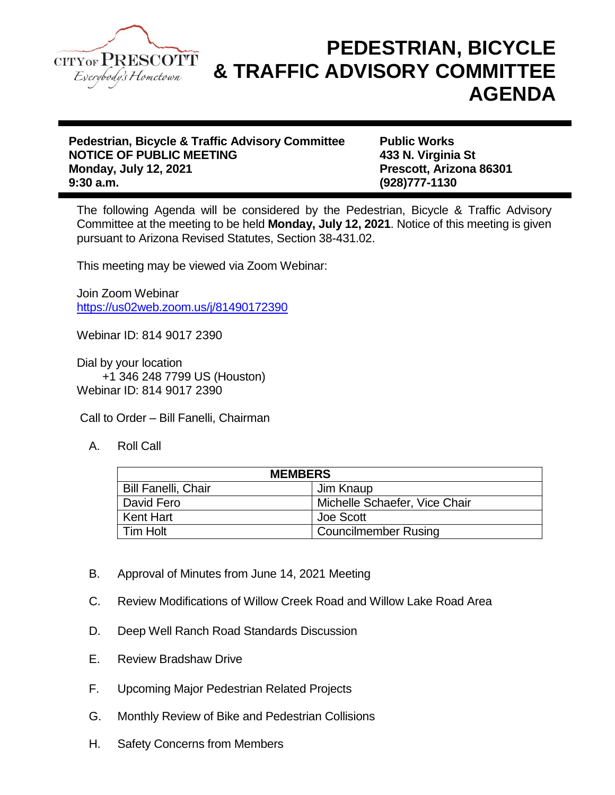

## **PEDESTRIAN, BICYCLE & TRAFFIC ADVISORY COMMITTEE AGENDA**

**Pedestrian, Bicycle & Traffic Advisory Committee Public Works NOTICE OF PUBLIC MEETING 433 N. Virginia St Monday, July 12, 2021 Prescott, Arizona 86301 9:30 a.m. (928)777-1130**

The following Agenda will be considered by the Pedestrian, Bicycle & Traffic Advisory Committee at the meeting to be held **Monday, July 12, 2021**. Notice of this meeting is given pursuant to Arizona Revised Statutes, Section 38-431.02.

This meeting may be viewed via Zoom Webinar:

Join Zoom Webinar <https://us02web.zoom.us/j/81490172390>

Webinar ID: 814 9017 2390

Dial by your location +1 346 248 7799 US (Houston) Webinar ID: 814 9017 2390

Call to Order – Bill Fanelli, Chairman

A. Roll Call

| <b>MEMBERS</b>             |                               |
|----------------------------|-------------------------------|
| <b>Bill Fanelli, Chair</b> | Jim Knaup                     |
| l David Fero               | Michelle Schaefer, Vice Chair |
| Kent Hart                  | Joe Scott                     |
| l Tim Holt                 | <b>Councilmember Rusing</b>   |

- B. Approval of Minutes from June 14, 2021 Meeting
- C. Review Modifications of Willow Creek Road and Willow Lake Road Area
- D. Deep Well Ranch Road Standards Discussion
- E. Review Bradshaw Drive
- F. Upcoming Major Pedestrian Related Projects
- G. Monthly Review of Bike and Pedestrian Collisions
- H. Safety Concerns from Members